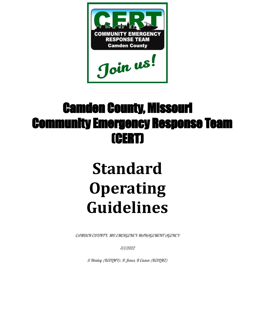

# Camden County, Missouri Community Emergency Response Team (CERT)

# **Standard Operating Guidelines**

CAMDEN COUNTY, MO EMERGENCY MANAGEMENT AGENCY

3/1/2022

S Henley (KE0LMY), R Jones, R Cason (KE0LMZ)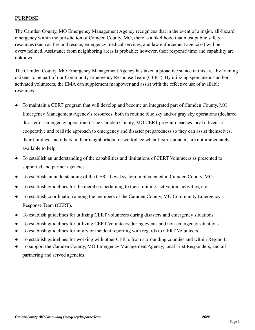#### **PURPOSE**

The Camden County, MO Emergency Management Agency recognizes that in the event of a major. all-hazard emergency within the jurisdiction of Camden County, MO, there is a likelihood that most public safety resources (such as fire and rescue, emergency medical services, and law enforcement agencies) will be overwhelmed. Assistance from neighboring areas is probable; however, their response time and capability are unknown.

The Camden County, MO Emergency Management Agency has taken a proactive stance in this area by training citizens to be part of our Community Emergency Response Team (CERT). By utilizing spontaneous and/or activated volunteers, the EMA can supplement manpower and assist with the effective use of available resources.

- To maintain a CERT program that will develop and become an integrated part of Camden County, MO Emergency Management Agency's resources, both in routine blue sky and/or gray sky operations (declared disaster or emergency operations). The Camden County, MO CERT program teaches local citizens a cooperative and realistic approach to emergency and disaster preparedness so they can assist themselves, their families, and others in their neighborhood or workplace when first responders are not immediately available to help.
- To establish an understanding of the capabilities and limitations of CERT Volunteers as presented to supported and partner agencies.
- To establish an understanding of the CERT Level system implemented in Camden County, MO.
- To establish guidelines for the members pertaining to their training, activation, activities, etc.
- To establish coordination among the members of the Camden County, MO Community Emergency Response Team (CERT).
- To establish guidelines for utilizing CERT volunteers during disasters and emergency situations.
- To establish guidelines for utilizing CERT Volunteers during events and non-emergency situations.
- To establish guidelines for injury or incident reporting with regards to CERT Volunteers.
- To establish guidelines for working with other CERTs from surrounding counties and within Region F.
- To support the Camden County, MO Emergency Management Agency, local First Responders, and all partnering and served agencies.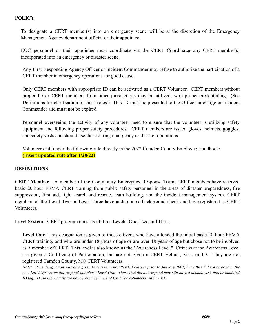#### **POLICY**

To designate a CERT member(s) into an emergency scene will be at the discretion of the Emergency Management Agency department official or their appointee.

EOC personnel or their appointee must coordinate via the CERT Coordinator any CERT member(s) incorporated into an emergency or disaster scene.

Any First Responding Agency Officer or Incident Commander may refuse to authorize the participation of a CERT member in emergency operations for good cause.

Only CERT members with appropriate ID can be activated as a CERT Volunteer. CERT members without proper ID or CERT members from other jurisdictions may be utilized, with proper credentialing. (See Definitions for clarification of these roles.) This ID must be presented to the Officer in charge or Incident Commander and must not be expired.

Personnel overseeing the activity of any volunteer need to ensure that the volunteer is utilizing safety equipment and following proper safety procedures. CERT members are issued gloves, helmets, goggles, and safety vests and should use these during emergency or disaster operations

Volunteers fall under the following rule directly in the 2022 Camden County Employee Handbook: **(Insert updated rule after 1/28/22)**

#### **DEFINITIONS**

**CERT Member** - A member of the Community Emergency Response Team. CERT members have received basic 20-hour FEMA CERT training from public safety personnel in the areas of disaster preparedness, fire suppression, first aid, light search and rescue, team building, and the incident management system. CERT members at the Level Two or Level Three have undergone a background check and have registered as CERT Volunteers.

**Level System** - CERT program consists of three Levels: One, Two and Three.

**Level One-** This designation is given to those citizens who have attended the initial basic 20-hour FEMA CERT training, and who are under 18 years of age or are over 18 years of age but chose not to be involved as a member of CERT. This level is also known as the "Awareness Level." Citizens at the Awareness Level are given a Certificate of Participation, but are not given a CERT Helmet, Vest, or ID. They are not registered Camden County, MO CERT Volunteers.

Note: This designation was also given to citizens who attended classes prior to January 2005, but either did not respond to the new Level System or did respond but chose Level One. Those that did not respond may still have a helmet, vest, and/or outdated *ID tag. These individuals are not current members of CERT or volunteers with CERT.*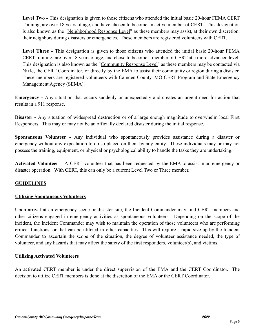**Level Two -** This designation is given to those citizens who attended the initial basic 20-hour FEMA CERT Training, are over 18 years of age, and have chosen to become an active member of CERT. This designation is also known as the "Neighborhood Response Level" as these members may assist, at their own discretion, their neighbors during disasters or emergencies. These members are registered volunteers with CERT.

**Level Three -** This designation is given to those citizens who attended the initial basic 20-hour FEMA CERT training, are over 18 years of age, and chose to become a member of CERT at a more advanced level. This designation is also known as the "Community Response Level" as these members may be contacted via Nixle, the CERT Coordinator, or directly by the EMA to assist their community or region during a disaster. These members are registered volunteers with Camden County, MO CERT Program and State Emergency Management Agency (SEMA).

**Emergency -** Any situation that occurs suddenly or unexpectedly and creates an urgent need for action that results in a 911 response.

**Disaster -** Any situation of widespread destruction or of a large enough magnitude to overwhelm local First Responders. This may or may not be an officially declared disaster during the initial response.

**Spontaneous Volunteer -** Any individual who spontaneously provides assistance during a disaster or emergency without any expectation to do so placed on them by any entity. These individuals may or may not possess the training, equipment, or physical or psychological ability to handle the tasks they are undertaking.

**Activated Volunteer –** A CERT volunteer that has been requested by the EMA to assist in an emergency or disaster operation. With CERT, this can only be a current Level Two or Three member.

#### **GUIDELINES**

#### **Utilizing Spontaneous Volunteers**

Upon arrival at an emergency scene or disaster site, the Incident Commander may find CERT members and other citizens engaged in emergency activities as spontaneous volunteers. Depending on the scope of the incident, the Incident Commander may wish to maintain the operation of those volunteers who are performing critical functions, or that can be utilized in other capacities. This will require a rapid size-up by the Incident Commander to ascertain the scope of the situation, the degree of volunteer assistance needed, the type of volunteer, and any hazards that may affect the safety of the first responders, volunteer(s), and victims.

#### **Utilizing Activated Volunteers**

An activated CERT member is under the direct supervision of the EMA and the CERT Coordinator. The decision to utilize CERT members is done at the discretion of the EMA or the CERT Coordinator.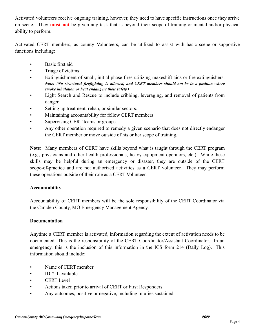Activated volunteers receive ongoing training, however, they need to have specific instructions once they arrive on scene. They **must not** be given any task that is beyond their scope of training or mental and/or physical ability to perform.

Activated CERT members, as county Volunteers, can be utilized to assist with basic scene or supportive functions including:

- Basic first aid
- Triage of victims
- Extinguishment of small, initial phase fires utilizing makeshift aids or fire extinguishers. *Note: (No structural firefighting is allowed, and CERT members should not be in a position where smoke inhalation or heat endangers their safety.)*
- Light Search and Rescue to include cribbing, leveraging, and removal of patients from danger.
- Setting up treatment, rehab, or similar sectors.
- Maintaining accountability for fellow CERT members
- Supervising CERT teams or groups.
- Any other operation required to remedy a given scenario that does not directly endanger the CERT member or move outside of his or her scope of training.

**Note:** Many members of CERT have skills beyond what is taught through the CERT program (e.g., physicians and other health professionals, heavy equipment operators, etc.). While these skills may be helpful during an emergency or disaster, they are outside of the CERT scope-of-practice and are not authorized activities as a CERT volunteer. They may perform these operations outside of their role as a CERT Volunteer.

#### **Accountability**

Accountability of CERT members will be the sole responsibility of the CERT Coordinator via the Camden County, MO Emergency Management Agency.

#### **Documentation**

Anytime a CERT member is activated, information regarding the extent of activation needs to be documented. This is the responsibility of the CERT Coordinator/Assistant Coordinator. In an emergency, this is the inclusion of this information in the ICS form 214 (Daily Log). This information should include:

- Name of CERT member
- ID  $\#$  if available
- CERT Level
- Actions taken prior to arrival of CERT or First Responders
- Any outcomes, positive or negative, including injuries sustained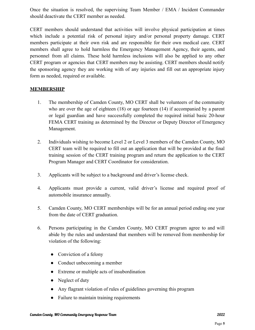Once the situation is resolved, the supervising Team Member / EMA / Incident Commander should deactivate the CERT member as needed.

CERT members should understand that activities will involve physical participation at times which include a potential risk of personal injury and/or personal property damage. CERT members participate at their own risk and are responsible for their own medical care. CERT members shall agree to hold harmless the Emergency Management Agency, their agents, and personnel from all claims. These hold harmless inclusions will also be applied to any other CERT program or agencies that CERT members may be assisting. CERT members should notify the sponsoring agency they are working with of any injuries and fill out an appropriate injury form as needed, required or available.

#### **MEMBERSHIP**

- 1. The membership of Camden County, MO CERT shall be volunteers of the community who are over the age of eighteen (18) or age fourteen (14) if accompanied by a parent or legal guardian and have successfully completed the required initial basic 20-hour FEMA CERT training as determined by the Director or Deputy Director of Emergency Management.
- 2. Individuals wishing to become Level 2 or Level 3 members of the Camden County, MO CERT team will be required to fill out an application that will be provided at the final training session of the CERT training program and return the application to the CERT Program Manager and CERT Coordinator for consideration.
- 3. Applicants will be subject to a background and driver's license check.
- 4. Applicants must provide a current, valid driver's license and required proof of automobile insurance annually.
- 5. Camden County, MO CERT memberships will be for an annual period ending one year from the date of CERT graduation.
- 6. Persons participating in the Camden County, MO CERT program agree to and will abide by the rules and understand that members will be removed from membership for violation of the following:
	- Conviction of a felony
	- Conduct unbecoming a member
	- Extreme or multiple acts of insubordination
	- Neglect of duty
	- Any flagrant violation of rules of guidelines governing this program
	- Failure to maintain training requirements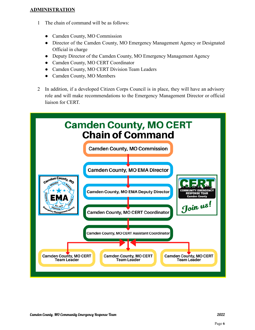#### **ADMINISTRATION**

- 1 The chain of command will be as follows:
	- Camden County, MO Commission
	- Director of the Camden County, MO Emergency Management Agency or Designated Official in charge
	- Deputy Director of the Camden County, MO Emergency Management Agency
	- Camden County, MO CERT Coordinator
	- Camden County, MO CERT Division Team Leaders
	- Camden County, MO Members
- 2 In addition, if a developed Citizen Corps Council is in place, they will have an advisory role and will make recommendations to the Emergency Management Director or official liaison for CERT.

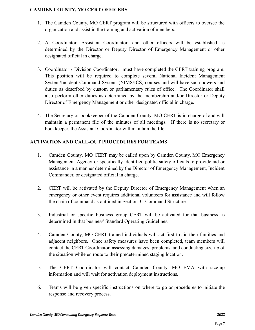#### **CAMDEN COUNTY, MO CERT OFFICERS**

- 1. The Camden County, MO CERT program will be structured with officers to oversee the organization and assist in the training and activation of members.
- 2. A Coordinator, Assistant Coordinator, and other officers will be established as determined by the Director or Deputy Director of Emergency Management or other designated official in charge.
- 3. Coordinator / Division Coordinator: must have completed the CERT training program. This position will be required to complete several National Incident Management System/Incident Command System (NIMS/ICS) courses and will have such powers and duties as described by custom or parliamentary rules of office. The Coordinator shall also perform other duties as determined by the membership and/or Director or Deputy Director of Emergency Management or other designated official in charge.
- 4. The Secretary or bookkeeper of the Camden County, MO CERT is in charge of and will maintain a permanent file of the minutes of all meetings. If there is no secretary or bookkeeper, the Assistant Coordinator will maintain the file.

#### **ACTIVATION AND CALL-OUT PROCEDURES FOR TEAMS**

- 1. Camden County, MO CERT may be called upon by Camden County, MO Emergency Management Agency or specifically identified public safety officials to provide aid or assistance in a manner determined by the Director of Emergency Management, Incident Commander, or designated official in charge.
- 2. CERT will be activated by the Deputy Director of Emergency Management when an emergency or other event requires additional volunteers for assistance and will follow the chain of command as outlined in Section 3: Command Structure.
- 3. Industrial or specific business group CERT will be activated for that business as determined in that business' Standard Operating Guidelines.
- 4. Camden County, MO CERT trained individuals will act first to aid their families and adjacent neighbors. Once safety measures have been completed, team members will contact the CERT Coordinator, assessing damages, problems, and conducting size-up of the situation while en route to their predetermined staging location.
- 5. The CERT Coordinator will contact Camden County, MO EMA with size-up information and will wait for activation deployment instructions.
- 6. Teams will be given specific instructions on where to go or procedures to initiate the response and recovery process.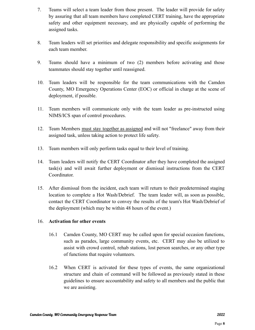- 7. Teams will select a team leader from those present. The leader will provide for safety by assuring that all team members have completed CERT training, have the appropriate safety and other equipment necessary, and are physically capable of performing the assigned tasks.
- 8. Team leaders will set priorities and delegate responsibility and specific assignments for each team member.
- 9. Teams should have a minimum of two (2) members before activating and those teammates should stay together until reassigned.
- 10. Team leaders will be responsible for the team communications with the Camden County, MO Emergency Operations Center (EOC) or official in charge at the scene of deployment, if possible.
- 11. Team members will communicate only with the team leader as pre-instructed using NIMS/ICS span of control procedures.
- 12. Team Members must stay together as assigned and will not "freelance" away from their assigned task, unless taking action to protect life safety.
- 13. Team members will only perform tasks equal to their level of training.
- 14. Team leaders will notify the CERT Coordinator after they have completed the assigned task(s) and will await further deployment or dismissal instructions from the CERT Coordinator.
- 15. After dismissal from the incident, each team will return to their predetermined staging location to complete a Hot Wash/Debrief. The team leader will, as soon as possible, contact the CERT Coordinator to convey the results of the team's Hot Wash/Debrief of the deployment (which may be within 48 hours of the event.)

#### 16. **Activation for other events**

- 16.1 Camden County, MO CERT may be called upon for special occasion functions, such as parades, large community events, etc. CERT may also be utilized to assist with crowd control, rehab stations, lost person searches, or any other type of functions that require volunteers.
- 16.2 When CERT is activated for these types of events, the same organizational structure and chain of command will be followed as previously stated in these guidelines to ensure accountability and safety to all members and the public that we are assisting.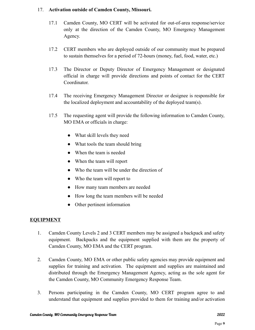#### 17. **Activation outside of Camden County, Missouri.**

- 17.1 Camden County, MO CERT will be activated for out-of-area response/service only at the direction of the Camden County, MO Emergency Management Agency.
- 17.2 CERT members who are deployed outside of our community must be prepared to sustain themselves for a period of 72-hours (money, fuel, food, water, etc.)
- 17.3 The Director or Deputy Director of Emergency Management or designated official in charge will provide directions and points of contact for the CERT Coordinator.
- 17.4 The receiving Emergency Management Director or designee is responsible for the localized deployment and accountability of the deployed team(s).
- 17.5 The requesting agent will provide the following information to Camden County, MO EMA or officials in charge:
	- What skill levels they need
	- What tools the team should bring
	- When the team is needed
	- When the team will report
	- Who the team will be under the direction of
	- Who the team will report to
	- How many team members are needed
	- How long the team members will be needed
	- Other pertinent information

#### **EQUIPMENT**

- 1. Camden County Levels 2 and 3 CERT members may be assigned a backpack and safety equipment. Backpacks and the equipment supplied with them are the property of Camden County, MO EMA and the CERT program.
- 2. Camden County, MO EMA or other public safety agencies may provide equipment and supplies for training and activation. The equipment and supplies are maintained and distributed through the Emergency Management Agency, acting as the sole agent for the Camden County, MO Community Emergency Response Team.
- 3. Persons participating in the Camden County, MO CERT program agree to and understand that equipment and supplies provided to them for training and/or activation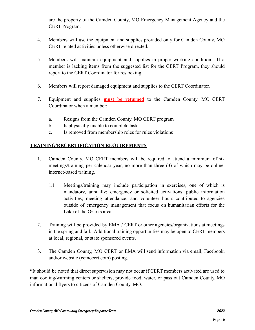are the property of the Camden County, MO Emergency Management Agency and the CERT Program.

- 4. Members will use the equipment and supplies provided only for Camden County, MO CERT-related activities unless otherwise directed.
- 5 Members will maintain equipment and supplies in proper working condition. If a member is lacking items from the suggested list for the CERT Program, they should report to the CERT Coordinator for restocking.
- 6. Members will report damaged equipment and supplies to the CERT Coordinator.
- 7. Equipment and supplies **must be returned** to the Camden County, MO CERT Coordinator when a member:
	- a. Resigns from the Camden County, MO CERT program
	- b. Is physically unable to complete tasks
	- c. Is removed from membership roles for rules violations

#### **TRAINING/RECERTIFICATION REQUIREMENTS**

- 1. Camden County, MO CERT members will be required to attend a minimum of six meetings/training per calendar year, no more than three (3) of which may be online, internet-based training.
	- 1.1 Meetings/training may include participation in exercises, one of which is mandatory, annually; emergency or solicited activations; public information activities; meeting attendance; and volunteer hours contributed to agencies outside of emergency management that focus on humanitarian efforts for the Lake of the Ozarks area.
- 2. Training will be provided by EMA / CERT or other agencies/organizations at meetings in the spring and fall. Additional training opportunities may be open to CERT members at local, regional, or state sponsored events.
- 3. The Camden County, MO CERT or EMA will send information via email, Facebook, and/or website (ccmocert.com) posting.

\*It should be noted that direct supervision may not occur if CERT members activated are used to man cooling/warming centers or shelters, provide food, water, or pass out Camden County, MO informational flyers to citizens of Camden County, MO.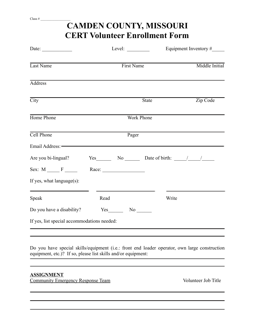| Level: $\_\_$                               |       |                               | Equipment Inventory $#$                                                                                                                                                                                                                                                                                                                                                                                                                                                                                                                            |  |
|---------------------------------------------|-------|-------------------------------|----------------------------------------------------------------------------------------------------------------------------------------------------------------------------------------------------------------------------------------------------------------------------------------------------------------------------------------------------------------------------------------------------------------------------------------------------------------------------------------------------------------------------------------------------|--|
| Middle Initial<br>First Name                |       |                               |                                                                                                                                                                                                                                                                                                                                                                                                                                                                                                                                                    |  |
|                                             |       |                               |                                                                                                                                                                                                                                                                                                                                                                                                                                                                                                                                                    |  |
|                                             |       |                               | Zip Code                                                                                                                                                                                                                                                                                                                                                                                                                                                                                                                                           |  |
|                                             |       |                               |                                                                                                                                                                                                                                                                                                                                                                                                                                                                                                                                                    |  |
|                                             | Pager |                               |                                                                                                                                                                                                                                                                                                                                                                                                                                                                                                                                                    |  |
|                                             |       |                               |                                                                                                                                                                                                                                                                                                                                                                                                                                                                                                                                                    |  |
| Are you bi-lingual?                         |       |                               |                                                                                                                                                                                                                                                                                                                                                                                                                                                                                                                                                    |  |
|                                             |       |                               |                                                                                                                                                                                                                                                                                                                                                                                                                                                                                                                                                    |  |
|                                             |       |                               |                                                                                                                                                                                                                                                                                                                                                                                                                                                                                                                                                    |  |
| Read                                        |       | Write                         |                                                                                                                                                                                                                                                                                                                                                                                                                                                                                                                                                    |  |
|                                             |       |                               |                                                                                                                                                                                                                                                                                                                                                                                                                                                                                                                                                    |  |
| If yes, list special accommodations needed: |       |                               |                                                                                                                                                                                                                                                                                                                                                                                                                                                                                                                                                    |  |
|                                             |       | Do you have a disability? Yes | <b>CERT Volunteer Enrollment Form</b><br><b>State</b><br><b>Work Phone</b><br>Email Address: -<br>$Yes$ No Date of birth: $\frac{1}{1-\frac{1}{1-\frac{1}{1-\frac{1}{1-\frac{1}{1-\frac{1}{1-\frac{1}{1-\frac{1}{1-\frac{1}{1-\frac{1}{1-\frac{1}{1-\frac{1}{1-\frac{1}{1-\frac{1}{1-\frac{1}{1-\frac{1}{1-\frac{1}{1-\frac{1}{1-\frac{1}{1-\frac{1}{1-\frac{1}{1-\frac{1}{1-\frac{1}{1-\frac{1}{1-\frac{1}{1-\frac{1}{1-\frac{1}{1-\frac{1}{1-\frac{1}{1-\frac{1}{1-\frac{1}{1-\frac{1}{1-\frac{1}{1$<br>Race: $\_\_$<br>$No$ <sub>________</sub> |  |

**CAMDEN COUNTY, MISSOURI**

Do you have special skills/equipment (i.e.: front end loader operator, own large construction equipment, etc.)? If so, please list skills and/or equipment: 

#### **ASSIGNMENT**

**Community Emergency Response Team** Volunteer Job Title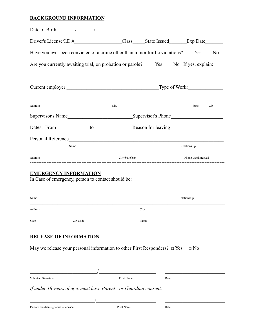#### **BACKGROUND INFORMATION**

| Date of Birth $\frac{1}{\sqrt{1-\frac{1}{2}}}\frac{1}{\sqrt{1-\frac{1}{2}}}\frac{1}{\sqrt{1-\frac{1}{2}}}\frac{1}{\sqrt{1-\frac{1}{2}}}\frac{1}{\sqrt{1-\frac{1}{2}}}\frac{1}{\sqrt{1-\frac{1}{2}}}\frac{1}{\sqrt{1-\frac{1}{2}}}\frac{1}{\sqrt{1-\frac{1}{2}}}\frac{1}{\sqrt{1-\frac{1}{2}}}\frac{1}{\sqrt{1-\frac{1}{2}}}\frac{1}{\sqrt{1-\frac{1}{2}}}\frac{1}{\sqrt{1-\frac{1}{2}}}\frac{1}{\sqrt{1-\frac{1}{$ |  |                |  |                     |  |
|--------------------------------------------------------------------------------------------------------------------------------------------------------------------------------------------------------------------------------------------------------------------------------------------------------------------------------------------------------------------------------------------------------------------|--|----------------|--|---------------------|--|
|                                                                                                                                                                                                                                                                                                                                                                                                                    |  |                |  |                     |  |
| Have you ever been convicted of a crime other than minor traffic violations? _____Yes _____No                                                                                                                                                                                                                                                                                                                      |  |                |  |                     |  |
| Are you currently awaiting trial, on probation or parole? _____Yes _____No If yes, explain:                                                                                                                                                                                                                                                                                                                        |  |                |  |                     |  |
|                                                                                                                                                                                                                                                                                                                                                                                                                    |  |                |  |                     |  |
| Address                                                                                                                                                                                                                                                                                                                                                                                                            |  | City           |  | State Zip           |  |
|                                                                                                                                                                                                                                                                                                                                                                                                                    |  |                |  |                     |  |
| Dates: From to Reason for leaving                                                                                                                                                                                                                                                                                                                                                                                  |  |                |  |                     |  |
| Personal Reference                                                                                                                                                                                                                                                                                                                                                                                                 |  |                |  |                     |  |
| Name                                                                                                                                                                                                                                                                                                                                                                                                               |  |                |  | Relationship        |  |
| Address                                                                                                                                                                                                                                                                                                                                                                                                            |  | City/State/Zip |  | Phone Landline/Cell |  |
| <b>EMERGENCY INFORMATION</b><br>In Case of emergency, person to contact should be:                                                                                                                                                                                                                                                                                                                                 |  |                |  |                     |  |
|                                                                                                                                                                                                                                                                                                                                                                                                                    |  |                |  |                     |  |

| Name    |          | Relationship |
|---------|----------|--------------|
| Address |          | City         |
| State   | Zip Code | Phone        |

#### **RELEASE OF INFORMATION**

May we release your personal information to other First Responders?  $\Box$  Yes  $\Box$  No

| Volunteer Signature                                             | Print Name | Date |
|-----------------------------------------------------------------|------------|------|
| If under 18 years of age, must have Parent or Guardian consent: |            |      |
|                                                                 |            |      |
| Parent/Guardian signature of consent                            | Print Name | Date |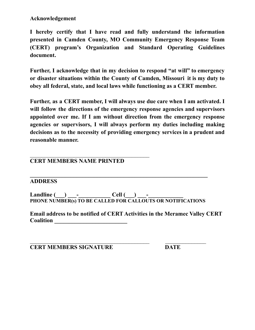#### **Acknowledgement**

**I hereby certify that I have read and fully understand the information presented in Camden County, MO Community Emergency Response Team (CERT) program's Organization and Standard Operating Guidelines document.**

**Further, I acknowledge that in my decision to respond "at will" to emergency or disaster situations within the County of Camden, Missouri it is my duty to obey all federal, state, and local laws while functioning as a CERT member.**

**Further, as a CERT member, I will always use due care when I am activated. I will follow the directions of the emergency response agencies and supervisors appointed over me. If I am without direction from the emergency response agencies or supervisors, I will always perform my duties including making decisions as to the necessity of providing emergency services in a prudent and reasonable manner.**

#### **CERT MEMBERS NAME PRINTED**

 $\mathcal{L}_\text{max}$  , and the contract of the contract of the contract of the contract of the contract of the contract of the contract of the contract of the contract of the contract of the contract of the contract of the contr

#### **ADDRESS**

 $\text{Call}(\_\_\_\_\_\_$ **PHONE NUMBER(s) TO BE CALLED FOR CALLOUTS OR NOTIFICATIONS**

 $\mathcal{L}_\text{max}$  , and the contract of the contract of the contract of the contract of the contract of the contract of the contract of the contract of the contract of the contract of the contract of the contract of the contr

**\_\_\_\_\_\_\_\_\_\_\_\_\_\_\_\_\_\_\_\_\_\_\_\_\_\_\_\_\_\_\_\_\_\_\_\_\_\_\_\_\_\_\_\_\_\_\_\_\_\_\_\_\_\_\_\_\_\_\_\_\_**

**Email address to be notified of CERT Activities in the Meramec Valley CERT Coalition \_\_\_\_\_\_\_\_\_\_\_\_\_\_\_\_\_\_\_\_\_\_\_\_\_**

**CERT MEMBERS SIGNATURE DATE**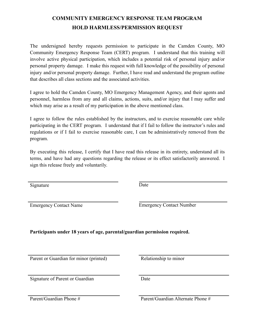### **COMMUNITY EMERGENCY RESPONSE TEAM PROGRAM HOLD HARMLESS/PERMISSION REQUEST**

The undersigned hereby requests permission to participate in the Camden County, MO Community Emergency Response Team (CERT) program. I understand that this training will involve active physical participation, which includes a potential risk of personal injury and/or personal property damage. I make this request with full knowledge of the possibility of personal injury and/or personal property damage. Further, I have read and understand the program outline that describes all class sections and the associated activities.

I agree to hold the Camden County, MO Emergency Management Agency, and their agents and personnel, harmless from any and all claims, actions, suits, and/or injury that I may suffer and which may arise as a result of my participation in the above mentioned class.

I agree to follow the rules established by the instructors, and to exercise reasonable care while participating in the CERT program. I understand that if I fail to follow the instructor's rules and regulations or if I fail to exercise reasonable care, I can be administratively removed from the program.

By executing this release, I certify that I have read this release in its entirety, understand all its terms, and have had any questions regarding the release or its effect satisfactorily answered. I sign this release freely and voluntarily.

Signature Date

Emergency Contact Name Emergency Contact Number

**Participants under 18 years of age, parental/guardian permission required.**

Parent or Guardian for minor (printed) Relationship to minor

Signature of Parent or Guardian Date

Parent/Guardian Phone # Parent/Guardian Alternate Phone #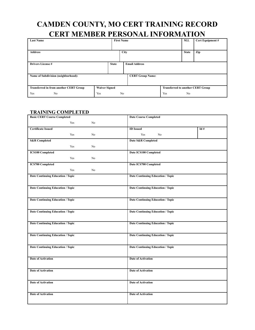## **CAMDEN COUNTY, MO CERT TRAINING RECORD CERT MEMBER PERSONAL INFORMATION**

| <b>Last Name</b>                              |                      | <b>First Name</b> |                |                         |                                          | M.I.           | Cert Equipment # |
|-----------------------------------------------|----------------------|-------------------|----------------|-------------------------|------------------------------------------|----------------|------------------|
|                                               |                      |                   |                |                         |                                          |                |                  |
| <b>Address</b>                                |                      |                   | City           |                         |                                          | <b>State</b>   | Zip              |
|                                               |                      |                   |                |                         |                                          |                |                  |
| <b>Drivers License#</b>                       |                      | <b>State</b>      |                | <b>Email Address</b>    |                                          |                |                  |
|                                               |                      |                   |                |                         |                                          |                |                  |
| Name of Subdivision (neighborhood):           |                      |                   |                | <b>CERT Group Name:</b> |                                          |                |                  |
|                                               |                      |                   |                |                         |                                          |                |                  |
| <b>Transferred in from another CERT Group</b> | <b>Waiver Signed</b> |                   |                |                         | <b>Transferred to another CERT Group</b> |                |                  |
| N <sub>0</sub><br>Yes                         | Yes                  |                   | N <sub>0</sub> |                         | Yes                                      | N <sub>0</sub> |                  |

#### **TRAINING COMPLETED**

| <b>Basic CERT Course Completed</b>       |                | <b>Date Course Completed</b>             |                |     |
|------------------------------------------|----------------|------------------------------------------|----------------|-----|
| Yes                                      | N <sub>0</sub> |                                          |                |     |
| <b>Certificate Issued</b>                |                | <b>ID</b> Issued                         |                | Id# |
| Yes                                      | N <sub>0</sub> | Yes                                      | N <sub>0</sub> |     |
| <b>S&amp;R</b> Completed                 |                | Date S&R Completed                       |                |     |
| Yes                                      | No             |                                          |                |     |
| <b>ICS100 Completed</b>                  |                | Date ICS100 Completed                    |                |     |
| Yes                                      | N <sub>0</sub> |                                          |                |     |
| <b>ICS700 Completed</b>                  |                | Date ICS700 Completed                    |                |     |
| Yes                                      | N <sub>0</sub> |                                          |                |     |
| Date Continuing Education / Topic        |                | <b>Date Continuing Education / Topic</b> |                |     |
|                                          |                |                                          |                |     |
| Date Continuing Education / Topic        |                | Date Continuing Education / Topic        |                |     |
|                                          |                |                                          |                |     |
| Date Continuing Education / Topic        |                | <b>Date Continuing Education / Topic</b> |                |     |
|                                          |                |                                          |                |     |
| Date Continuing Education / Topic        |                | <b>Date Continuing Education / Topic</b> |                |     |
|                                          |                |                                          |                |     |
| <b>Date Continuing Education / Topic</b> |                | Date Continuing Education / Topic        |                |     |
|                                          |                |                                          |                |     |
| Date Continuing Education / Topic        |                | <b>Date Continuing Education / Topic</b> |                |     |
|                                          |                |                                          |                |     |
| Date Continuing Education / Topic        |                | <b>Date Continuing Education / Topic</b> |                |     |
|                                          |                |                                          |                |     |
| <b>Date of Activation</b>                |                | <b>Date of Activation</b>                |                |     |
|                                          |                |                                          |                |     |
| <b>Date of Activation</b>                |                | <b>Date of Activation</b>                |                |     |
|                                          |                |                                          |                |     |
| <b>Date of Activation</b>                |                | Date of Activation                       |                |     |
|                                          |                |                                          |                |     |
| <b>Date of Activation</b>                |                | <b>Date of Activation</b>                |                |     |
|                                          |                |                                          |                |     |
|                                          |                |                                          |                |     |